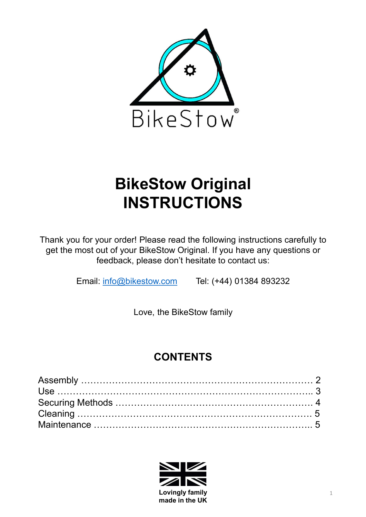

# INSTRUCTIONS

Thank you for your order! Please read the following instructions carefully to **EXECTS OUT SET OUT SET AND SET OUT SERVIS ON BIKESTOW ORIGINAl INSTRUCTIONS**<br>
Mank you for your order! Please read the following instructions carefully to<br>
get the most out of your BikeStow Original. If you have any ques feedback, please don't hesitate to contact us: **KeStow Original<br>
STRUCTIONS**<br>
The Please read the following instructions carefully to<br>
The BikeStow Original. If you have any questions or<br>
please don't hesitate to contact us:<br>
<u>Restow.com</u> Tel: (+44) 01384 893232<br>
Love,

Email: info@bikestow.com Tel: (+44) 01384 893232

## **CONTENTS**

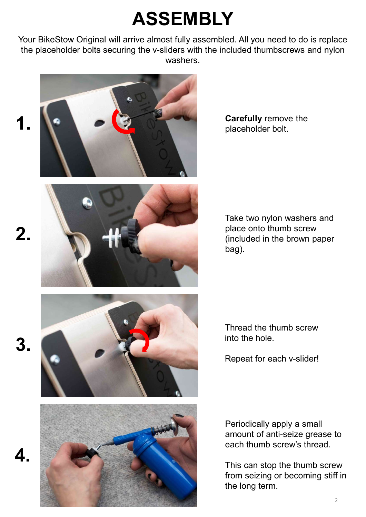## ASSEMBLY

**ASSEMBLY**<br>Your BikeStow Original will arrive almost fully assembled. All you need to do is replace<br>the placeholder bolts securing the v-sliders with the included thumbscrews and nylon<br>washers. the placeholder bolts securing the v-sliders with the included thumbscrews and nylon washers.





Carefully remove the placeholder bolt.

Take two nylon washers and place onto thumb screw (included in the brown paper bag). Take two nylon washers and<br>place onto thumb screw<br>(included in the brown paper<br>bag).<br>Thread the thumb screw<br>into the hole.<br>Repeat for each v-slider!

into the hole.

Repeat for each v-slider!

Periodically apply a small amount of anti-seize grease to Thread the thumb screw<br>into the hole.<br>Repeat for each v-slider!<br>Periodically apply a small<br>amount of anti-seize grease to<br>each thumb screw's thread.<br>This can stop the thumb screw<br>from seizing or becoming stiff in<br>the long

This can stop the thumb screw from seizing or becoming stiff in the long term.

4.

2.



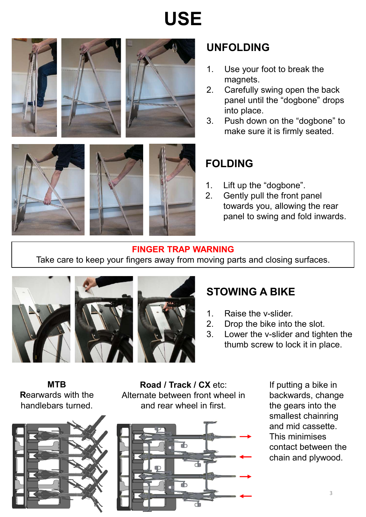













### UNFOLDING

- magnets.
- **UNFOLDING**<br>1. Use your foot to break the<br>magnets.<br>2. Carefully swing open the back<br>panel until the "dogbone" drops<br>into place. **UNFOLDING**<br>
2. Use your foot to break the<br>
magnets.<br>
2. Carefully swing open the back<br>
panel until the "dogbone" drops<br>
into place.<br>
3. Push down on the "dogbone" to<br>
make sure it is firmly sected panel until the "dogbone" drops into place. **UNFOLDING**<br>
1. Use your foot to break the<br>
magnets.<br>
2. Carefully swing open the back<br>
panel until the "dogbone" drops<br>
into place.<br>
3. Push down on the "dogbone" to<br>
make sure it is firmly seated.<br>
FOLDILO
- make sure it is firmly seated.

### FOLDING

- 
- **UNFOLDING**<br>
1. Use your foot to break the<br>
magnets.<br>
2. Carefully swing open the back<br>
panel until the "dogbone" drops<br>
into place.<br>
3. Push down on the "dogbone" to<br>
make sure it is firmly seated.<br> **FOLDING**<br>
1. Lift up **UNFOLDING**<br>
1. Use your foot to break the<br>
magnets.<br>
2. Carefully swing open the back<br>
panel until the "dogbone" drops<br>
into place.<br>
3. Push down on the "dogbone" to<br>
make sure it is firmly seated.<br> **FOLDING**<br>
1. Lift up towards you, allowing the rear panel to swing and fold inwards. FOLDING<br>
1. Lift up the "dogbone".<br>
2. Gently pull the front panel<br>
towards you, allowing the rear<br>
panel to swing and fold inwards.<br> **RNING**<br>
wing parts and closing surfaces.<br> **STOWING A BIKE**<br>
1. Raise the v-slider.<br>
2. THE 1. Lift up the "dogbone".<br>
2. Gently pull the front panel<br>
towards you, allowing the rear<br>
panel to swing and fold inwards.<br> **RNING**<br>
wing parts and closing surfaces.<br> **STOWING A BIKE**<br>
1. Raise the v-slider.<br>
2. Drop 1. Lift up the "dogbone".<br>
2. Gently pull the front panel<br>
towards you, allowing the rear<br>
panel to swing and fold inwards.<br> **RNING**<br>
oving parts and closing surfaces.<br> **STOWING A BIKE**<br>
1. Raise the v-slider.<br>
2. Drop the

### FINGER TRAP WARNING

Take care to keep your fingers away from moving parts and closing surfaces.







## STOWING A BIKE

- 
- 
- thumb screw to lock it in place.

Rearwards with the handlebars turned.



**MTB** Road / Track / CX etc: If provided a Road / Track / CX etc: Alternate between front wheel in and rear wheel in first.



If putting a bike in backwards, change the gears into the smallest chainring and mid cassette. This minimises contact between the chain and plywood.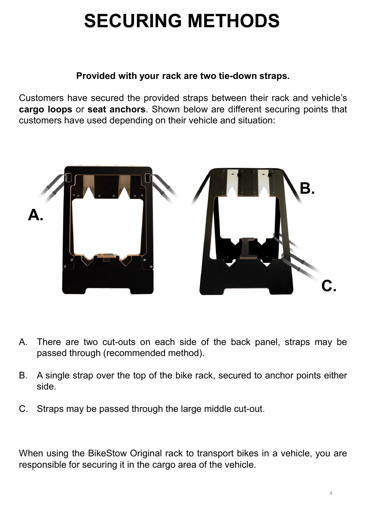## SECURING METHODS

### Provided with your rack are two tie-down straps.

**SECURING METHODS**<br>Provided with your rack are two tie-down straps.<br>Customers have secured the provided straps between their rack and vehicle's<br>cargo loops or seat anchors. Shown below are different securing points that<br>cu **SECURING METHODS**<br>Provided with your rack are two tie-down straps.<br>Customers have secured the provided straps between their rack and vehicle's<br>cargo loops or seat anchors. Shown below are different securing points that<br>cu **SECURING METHODS**<br>Provided with your rack are two tie-down straps.<br>Customers have secured the provided straps between their rack and vehicle's<br>customers have used depending on their vehicle and situation:<br>Alternative used



- When the BikeStow Original rack to transport bikes in a vehicle, when using the BikeStow Original rack to transport bikes in a vehicle, you are responsible for securing it in the cargo area of the vehicle. Frame are two cut-outs on each side of the back panel, straps may be passed through (recommended method).<br>
B. A single strap over the top of the bike rack, secured to anchor points either side.<br>
C. Straps may be passed thr
- side.
-